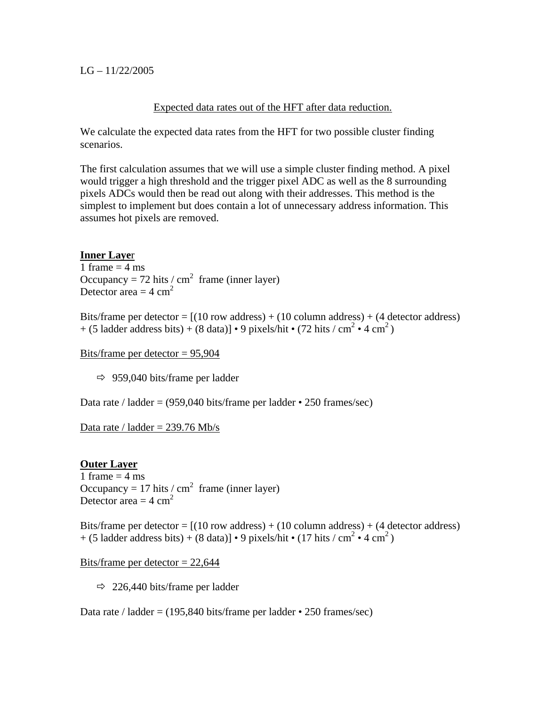## $LG - 11/22/2005$

## Expected data rates out of the HFT after data reduction.

We calculate the expected data rates from the HFT for two possible cluster finding scenarios.

The first calculation assumes that we will use a simple cluster finding method. A pixel would trigger a high threshold and the trigger pixel ADC as well as the 8 surrounding pixels ADCs would then be read out along with their addresses. This method is the simplest to implement but does contain a lot of unnecessary address information. This assumes hot pixels are removed.

# **Inner Laye**r

1 frame  $=$  4 ms Occupancy = 72 hits / cm<sup>2</sup> frame (inner layer) Detector area  $=$  4 cm<sup>2</sup>

Bits/frame per detector =  $[(10 \text{ row address}) + (10 \text{ column address}) + (4 \text{ detector address})]$  $+$  (5 ladder address bits) + (8 data)] • 9 pixels/hit • (72 hits / cm<sup>2</sup> • 4 cm<sup>2</sup>)

Bits/frame per detector = 95,904

 $\Rightarrow$  959,040 bits/frame per ladder

Data rate / ladder =  $(959,040 \text{ bits}/\text{frame per ladder} \cdot 250 \text{ frames/sec})$ 

Data rate / ladder  $= 239.76$  Mb/s

### **Outer Layer**

1 frame  $=$  4 ms Occupancy = 17 hits / cm<sup>2</sup> frame (inner layer) Detector area  $=$  4 cm<sup>2</sup>

Bits/frame per detector =  $[(10 \text{ row address}) + (10 \text{ column address}) + (4 \text{ detector address})]$  $+$  (5 ladder address bits) + (8 data)] • 9 pixels/hit • (17 hits / cm<sup>2</sup> • 4 cm<sup>2</sup>)

Bits/frame per detector  $= 22,644$ 

 $\Rightarrow$  226,440 bits/frame per ladder

Data rate / ladder =  $(195,840 \text{ bits/frame per ladder} \cdot 250 \text{ frames/sec})$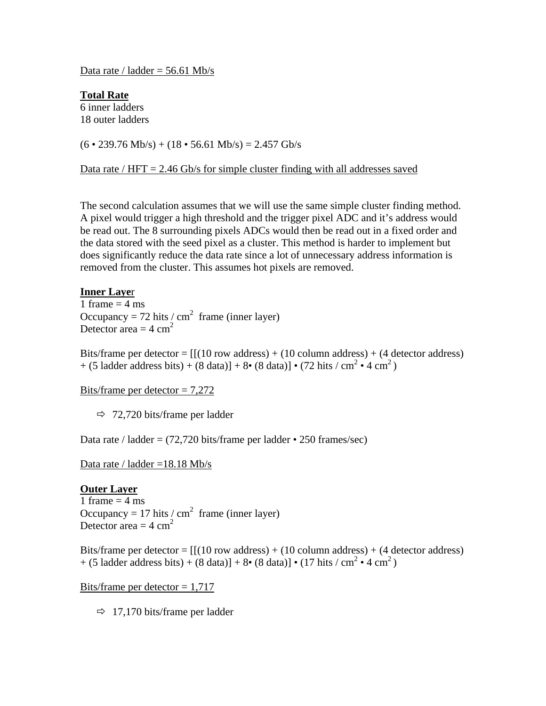Data rate / ladder  $=$  56.61 Mb/s

**Total Rate** 6 inner ladders 18 outer ladders

 $(6 \cdot 239.76 \text{ Mb/s}) + (18 \cdot 56.61 \text{ Mb/s}) = 2.457 \text{Gb/s}$ 

Data rate /  $HFT = 2.46$  Gb/s for simple cluster finding with all addresses saved

The second calculation assumes that we will use the same simple cluster finding method. A pixel would trigger a high threshold and the trigger pixel ADC and it's address would be read out. The 8 surrounding pixels ADCs would then be read out in a fixed order and the data stored with the seed pixel as a cluster. This method is harder to implement but does significantly reduce the data rate since a lot of unnecessary address information is removed from the cluster. This assumes hot pixels are removed.

#### **Inner Laye**r

1 frame  $=$  4 ms Occupancy = 72 hits / cm<sup>2</sup> frame (inner layer) Detector area  $=$  4 cm<sup>2</sup>

Bits/frame per detector =  $[(10 \text{ row address}) + (10 \text{ column address}) + (4 \text{ detector address})]$  $+$  (5 ladder address bits)  $+$  (8 data)]  $+$  8 $\cdot$  (8 data)]  $\cdot$  (72 hits / cm<sup>2</sup>  $\cdot$  4 cm<sup>2</sup>)

Bits/frame per detector  $= 7,272$ 

 $\Rightarrow$  72,720 bits/frame per ladder

Data rate / ladder =  $(72,720 \text{ bits/frame per ladder} \cdot 250 \text{ frames/sec})$ 

Data rate / ladder =18.18 Mb/s

#### **Outer Layer**

1 frame  $=$  4 ms Occupancy = 17 hits / cm<sup>2</sup> frame (inner layer) Detector area  $=$  4 cm<sup>2</sup>

Bits/frame per detector =  $[(10 \text{ row address}) + (10 \text{ column address}) + (4 \text{ detector address})]$  $+$  (5 ladder address bits) + (8 data)] + 8• (8 data)] • (17 hits / cm<sup>2</sup> • 4 cm<sup>2</sup>)

Bits/frame per detector  $= 1,717$ 

 $\Rightarrow$  17,170 bits/frame per ladder